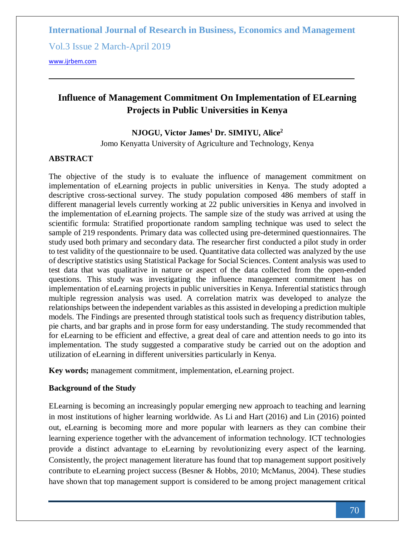Vol.3 Issue 2 March-April 2019

[www.ijrbem.com](file:///D:/New%20folder/IJRBEM/pepar/2019/Jan-Feb/BEM340/www.ijrbem.com)

# **Influence of Management Commitment On Implementation of ELearning Projects in Public Universities in Kenya**

### **NJOGU, Victor James<sup>1</sup> Dr. SIMIYU, Alice<sup>2</sup>**

Jomo Kenyatta University of Agriculture and Technology, Kenya

### **ABSTRACT**

The objective of the study is to evaluate the influence of management commitment on implementation of eLearning projects in public universities in Kenya. The study adopted a descriptive cross-sectional survey. The study population composed 486 members of staff in different managerial levels currently working at 22 public universities in Kenya and involved in the implementation of eLearning projects. The sample size of the study was arrived at using the scientific formula: Stratified proportionate random sampling technique was used to select the sample of 219 respondents. Primary data was collected using pre-determined questionnaires. The study used both primary and secondary data. The researcher first conducted a pilot study in order to test validity of the questionnaire to be used. Quantitative data collected was analyzed by the use of descriptive statistics using Statistical Package for Social Sciences. Content analysis was used to test data that was qualitative in nature or aspect of the data collected from the open-ended questions. This study was investigating the influence management commitment has on implementation of eLearning projects in public universities in Kenya. Inferential statistics through multiple regression analysis was used. A correlation matrix was developed to analyze the relationships between the independent variables as this assisted in developing a prediction multiple models. The Findings are presented through statistical tools such as frequency distribution tables, pie charts, and bar graphs and in prose form for easy understanding. The study recommended that for eLearning to be efficient and effective, a great deal of care and attention needs to go into its implementation. The study suggested a comparative study be carried out on the adoption and utilization of eLearning in different universities particularly in Kenya.

**Key words;** management commitment, implementation, eLearning project.

### **Background of the Study**

ELearning is becoming an increasingly popular emerging new approach to teaching and learning in most institutions of higher learning worldwide. As Li and Hart (2016) and Lin (2016) pointed out, eLearning is becoming more and more popular with learners as they can combine their learning experience together with the advancement of information technology. ICT technologies provide a distinct advantage to eLearning by revolutionizing every aspect of the learning. Consistently, the project management literature has found that top management support positively contribute to eLearning project success (Besner & Hobbs, 2010; McManus, 2004). These studies have shown that top management support is considered to be among project management critical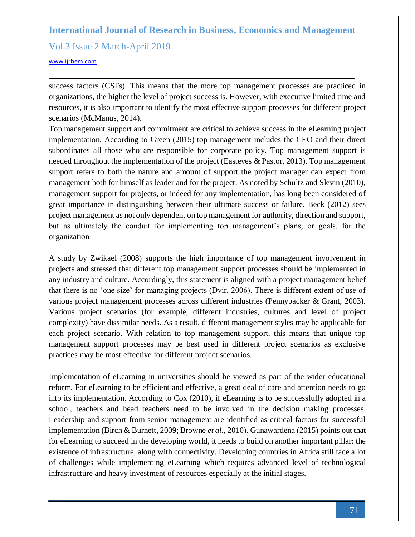Vol.3 Issue 2 March-April 2019

#### [www.ijrbem.com](file:///D:/New%20folder/IJRBEM/pepar/2019/Jan-Feb/BEM340/www.ijrbem.com)

success factors (CSFs). This means that the more top management processes are practiced in organizations, the higher the level of project success is. However, with executive limited time and resources, it is also important to identify the most effective support processes for different project scenarios (McManus, 2014).

Top management support and commitment are critical to achieve success in the eLearning project implementation. According to Green (2015) top management includes the CEO and their direct subordinates all those who are responsible for corporate policy. Top management support is needed throughout the implementation of the project (Easteves & Pastor, 2013). Top management support refers to both the nature and amount of support the project manager can expect from management both for himself as leader and for the project. As noted by Schultz and Slevin (2010), management support for projects, or indeed for any implementation, has long been considered of great importance in distinguishing between their ultimate success or failure. Beck (2012) sees project management as not only dependent on top management for authority, direction and support, but as ultimately the conduit for implementing top management's plans, or goals, for the organization

A study by Zwikael (2008) supports the high importance of top management involvement in projects and stressed that different top management support processes should be implemented in any industry and culture. Accordingly, this statement is aligned with a project management belief that there is no 'one size' for managing projects (Dvir, 2006). There is different extent of use of various project management processes across different industries (Pennypacker & Grant, 2003). Various project scenarios (for example, different industries, cultures and level of project complexity) have dissimilar needs. As a result, different management styles may be applicable for each project scenario. With relation to top management support, this means that unique top management support processes may be best used in different project scenarios as exclusive practices may be most effective for different project scenarios.

Implementation of eLearning in universities should be viewed as part of the wider educational reform. For eLearning to be efficient and effective, a great deal of care and attention needs to go into its implementation. According to Cox (2010), if eLearning is to be successfully adopted in a school, teachers and head teachers need to be involved in the decision making processes. Leadership and support from senior management are identified as critical factors for successful implementation (Birch & Burnett, 2009; Browne *et al.,* 2010). Gunawardena (2015) points out that for eLearning to succeed in the developing world, it needs to build on another important pillar: the existence of infrastructure, along with connectivity. Developing countries in Africa still face a lot of challenges while implementing eLearning which requires advanced level of technological infrastructure and heavy investment of resources especially at the initial stages.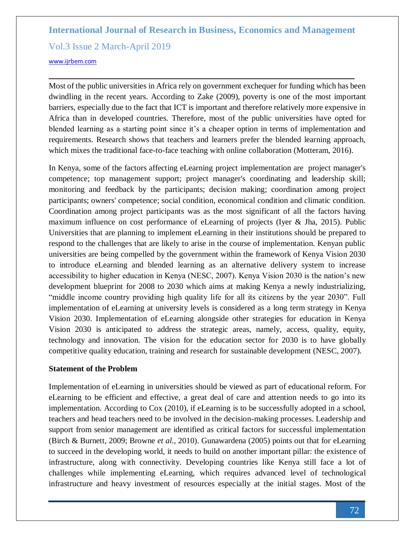Vol.3 Issue 2 March-April 2019

#### [www.ijrbem.com](file:///D:/New%20folder/IJRBEM/pepar/2019/Jan-Feb/BEM340/www.ijrbem.com)

Most of the public universities in Africa rely on government exchequer for funding which has been dwindling in the recent years. According to Zake (2009), poverty is one of the most important barriers, especially due to the fact that ICT is important and therefore relatively more expensive in Africa than in developed countries. Therefore, most of the public universities have opted for blended learning as a starting point since it's a cheaper option in terms of implementation and requirements. Research shows that teachers and learners prefer the blended learning approach, which mixes the traditional face-to-face teaching with online collaboration (Motteram, 2016).

In Kenya, some of the factors affecting eLearning project implementation are project manager's competence; top management support; project manager's coordinating and leadership skill; monitoring and feedback by the participants; decision making; coordination among project participants; owners' competence; social condition, economical condition and climatic condition. Coordination among project participants was as the most significant of all the factors having maximum influence on cost performance of eLearning of projects (Iyer & Jha, 2015). Public Universities that are planning to implement eLearning in their institutions should be prepared to respond to the challenges that are likely to arise in the course of implementation. Kenyan public universities are being compelled by the government within the framework of Kenya Vision 2030 to introduce eLearning and blended learning as an alternative delivery system to increase accessibility to higher education in Kenya (NESC, 2007). Kenya Vision 2030 is the nation's new development blueprint for 2008 to 2030 which aims at making Kenya a newly industrializing, "middle income country providing high quality life for all its citizens by the year 2030". Full implementation of eLearning at university levels is considered as a long term strategy in Kenya Vision 2030. Implementation of eLearning alongside other strategies for education in Kenya Vision 2030 is anticipated to address the strategic areas, namely, access, quality, equity, technology and innovation. The vision for the education sector for 2030 is to have globally competitive quality education, training and research for sustainable development (NESC, 2007).

### **Statement of the Problem**

Implementation of eLearning in universities should be viewed as part of educational reform. For eLearning to be efficient and effective, a great deal of care and attention needs to go into its implementation. According to Cox (2010), if eLearning is to be successfully adopted in a school, teachers and head teachers need to be involved in the decision-making processes. Leadership and support from senior management are identified as critical factors for successful implementation (Birch & Burnett, 2009; Browne *et al.,* 2010). Gunawardena (2005) points out that for eLearning to succeed in the developing world, it needs to build on another important pillar: the existence of infrastructure, along with connectivity. Developing countries like Kenya still face a lot of challenges while implementing eLearning, which requires advanced level of technological infrastructure and heavy investment of resources especially at the initial stages. Most of the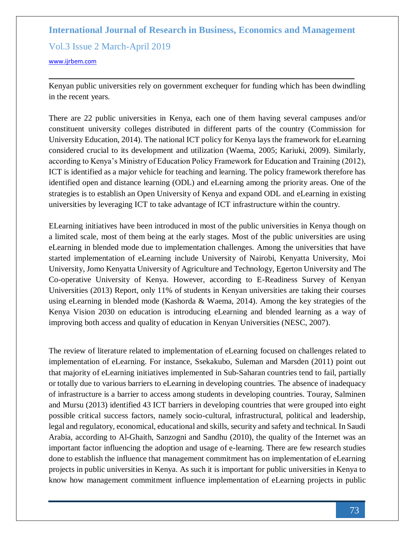Vol.3 Issue 2 March-April 2019

[www.ijrbem.com](file:///D:/New%20folder/IJRBEM/pepar/2019/Jan-Feb/BEM340/www.ijrbem.com)

Kenyan public universities rely on government exchequer for funding which has been dwindling in the recent years.

There are 22 public universities in Kenya, each one of them having several campuses and/or constituent university colleges distributed in different parts of the country (Commission for University Education, 2014). The national ICT policy for Kenya lays the framework for eLearning considered crucial to its development and utilization (Waema, 2005; Kariuki, 2009). Similarly, according to Kenya's Ministry of Education Policy Framework for Education and Training (2012), ICT is identified as a major vehicle for teaching and learning. The policy framework therefore has identified open and distance learning (ODL) and eLearning among the priority areas. One of the strategies is to establish an Open University of Kenya and expand ODL and eLearning in existing universities by leveraging ICT to take advantage of ICT infrastructure within the country.

ELearning initiatives have been introduced in most of the public universities in Kenya though on a limited scale, most of them being at the early stages. Most of the public universities are using eLearning in blended mode due to implementation challenges. Among the universities that have started implementation of eLearning include University of Nairobi, Kenyatta University, Moi University, Jomo Kenyatta University of Agriculture and Technology, Egerton University and The Co-operative University of Kenya. However, according to E-Readiness Survey of Kenyan Universities (2013) Report, only 11% of students in Kenyan universities are taking their courses using eLearning in blended mode (Kashorda & Waema, 2014). Among the key strategies of the Kenya Vision 2030 on education is introducing eLearning and blended learning as a way of improving both access and quality of education in Kenyan Universities (NESC, 2007).

The review of literature related to implementation of eLearning focused on challenges related to implementation of eLearning. For instance, Ssekakubo, Suleman and Marsden (2011) point out that majority of eLearning initiatives implemented in Sub-Saharan countries tend to fail, partially or totally due to various barriers to eLearning in developing countries. The absence of inadequacy of infrastructure is a barrier to access among students in developing countries. Touray, Salminen and Mursu (2013) identified 43 ICT barriers in developing countries that were grouped into eight possible critical success factors, namely socio-cultural, infrastructural, political and leadership, legal and regulatory, economical, educational and skills, security and safety and technical. In Saudi Arabia, according to Al-Ghaith, Sanzogni and Sandhu (2010), the quality of the Internet was an important factor influencing the adoption and usage of e-learning. There are few research studies done to establish the influence that management commitment has on implementation of eLearning projects in public universities in Kenya. As such it is important for public universities in Kenya to know how management commitment influence implementation of eLearning projects in public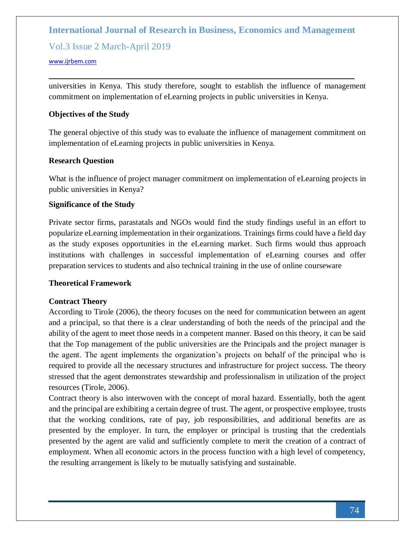## Vol.3 Issue 2 March-April 2019

#### [www.ijrbem.com](file:///D:/New%20folder/IJRBEM/pepar/2019/Jan-Feb/BEM340/www.ijrbem.com)

universities in Kenya. This study therefore, sought to establish the influence of management commitment on implementation of eLearning projects in public universities in Kenya.

### **Objectives of the Study**

The general objective of this study was to evaluate the influence of management commitment on implementation of eLearning projects in public universities in Kenya.

### **Research Question**

What is the influence of project manager commitment on implementation of eLearning projects in public universities in Kenya?

### **Significance of the Study**

Private sector firms, parastatals and NGOs would find the study findings useful in an effort to popularize eLearning implementation in their organizations. Trainings firms could have a field day as the study exposes opportunities in the eLearning market. Such firms would thus approach institutions with challenges in successful implementation of eLearning courses and offer preparation services to students and also technical training in the use of online courseware

### **Theoretical Framework**

### **Contract Theory**

According to Tirole (2006), the theory focuses on the need for communication between an agent and a principal, so that there is a clear understanding of both the needs of the principal and the ability of the agent to meet those needs in a competent manner. Based on this theory, it can be said that the Top management of the public universities are the Principals and the project manager is the agent. The agent implements the organization's projects on behalf of the principal who is required to provide all the necessary structures and infrastructure for project success. The theory stressed that the agent demonstrates stewardship and professionalism in utilization of the project resources (Tirole, 2006).

Contract theory is also interwoven with the concept of moral hazard. Essentially, both the agent and the principal are exhibiting a certain degree of trust. The agent, or prospective employee, trusts that the working conditions, rate of pay, job responsibilities, and additional benefits are as presented by the employer. In turn, the employer or principal is trusting that the credentials presented by the agent are valid and sufficiently complete to merit the creation of a contract of employment. When all economic actors in the process function with a high level of competency, the resulting arrangement is likely to be mutually satisfying and sustainable.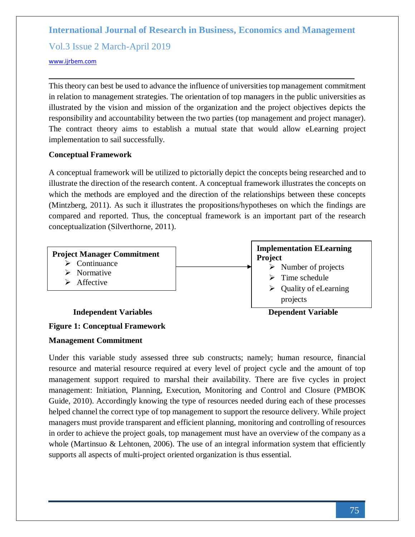Vol.3 Issue 2 March-April 2019

### [www.ijrbem.com](file:///D:/New%20folder/IJRBEM/pepar/2019/Jan-Feb/BEM340/www.ijrbem.com)

This theory can best be used to advance the influence of universities top management commitment in relation to management strategies. The orientation of top managers in the public universities as illustrated by the vision and mission of the organization and the project objectives depicts the responsibility and accountability between the two parties (top management and project manager). The contract theory aims to establish a mutual state that would allow eLearning project implementation to sail successfully.

### **Conceptual Framework**

A conceptual framework will be utilized to pictorially depict the concepts being researched and to illustrate the direction of the research content. A conceptual framework illustrates the concepts on which the methods are employed and the direction of the relationships between these concepts (Mintzberg, 2011). As such it illustrates the propositions/hypotheses on which the findings are compared and reported. Thus, the conceptual framework is an important part of the research conceptualization (Silverthorne, 2011).



# **Figure 1: Conceptual Framework**

### **Management Commitment**

Under this variable study assessed three sub constructs; namely; human resource, financial resource and material resource required at every level of project cycle and the amount of top management support required to marshal their availability. There are five cycles in project management: Initiation, Planning, Execution, Monitoring and Control and Closure (PMBOK Guide, 2010). Accordingly knowing the type of resources needed during each of these processes helped channel the correct type of top management to support the resource delivery. While project managers must provide transparent and efficient planning, monitoring and controlling of resources in order to achieve the project goals, top management must have an overview of the company as a whole (Martinsuo  $&$  Lehtonen, 2006). The use of an integral information system that efficiently supports all aspects of multi-project oriented organization is thus essential.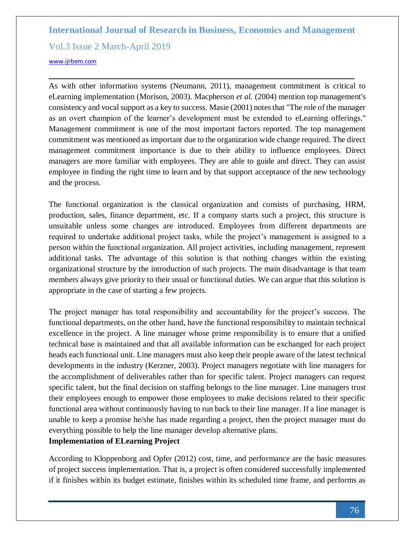Vol.3 Issue 2 March-April 2019

#### [www.ijrbem.com](file:///D:/New%20folder/IJRBEM/pepar/2019/Jan-Feb/BEM340/www.ijrbem.com)

As with other information systems (Neumann, 2011), management commitment is critical to eLearning implementation (Morison, 2003). Macpherson *et al.* (2004) mention top management's consistency and vocal support as a key to success. Masie (2001) notes that "The role of the manager as an overt champion of the learner's development must be extended to eLearning offerings." Management commitment is one of the most important factors reported. The top management commitment was mentioned as important due to the organization wide change required. The direct management commitment importance is due to their ability to influence employees. Direct managers are more familiar with employees. They are able to guide and direct. They can assist employee in finding the right time to learn and by that support acceptance of the new technology and the process.

The functional organization is the classical organization and consists of purchasing, HRM, production, sales, finance department, etc. If a company starts such a project, this structure is unsuitable unless some changes are introduced. Employees from different departments are required to undertake additional project tasks, while the project's management is assigned to a person within the functional organization. All project activities, including management, represent additional tasks. The advantage of this solution is that nothing changes within the existing organizational structure by the introduction of such projects. The main disadvantage is that team members always give priority to their usual or functional duties. We can argue that this solution is appropriate in the case of starting a few projects.

The project manager has total responsibility and accountability for the project's success. The functional departments, on the other hand, have the functional responsibility to maintain technical excellence in the project. A line manager whose prime responsibility is to ensure that a unified technical base is maintained and that all available information can be exchanged for each project heads each functional unit. Line managers must also keep their people aware of the latest technical developments in the industry (Kerzner, 2003). Project managers negotiate with line managers for the accomplishment of deliverables rather than for specific talent. Project managers can request specific talent, but the final decision on staffing belongs to the line manager. Line managers trust their employees enough to empower those employees to make decisions related to their specific functional area without continuously having to run back to their line manager. If a line manager is unable to keep a promise he/she has made regarding a project, then the project manager must do everything possible to help the line manager develop alternative plans.

## **Implementation of ELearning Project**

According to Kloppenborg and Opfer (2012) cost, time, and performance are the basic measures of project success implementation. That is, a project is often considered successfully implemented if it finishes within its budget estimate, finishes within its scheduled time frame, and performs as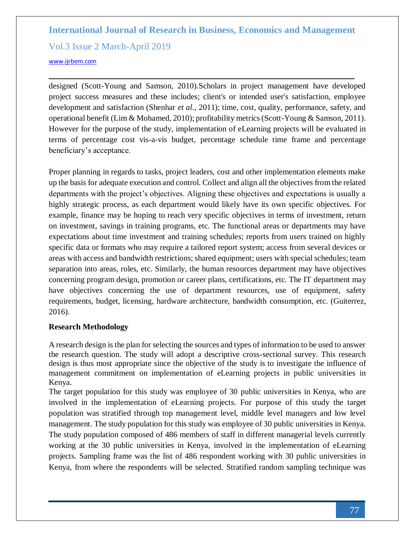Vol.3 Issue 2 March-April 2019

## [www.ijrbem.com](file:///D:/New%20folder/IJRBEM/pepar/2019/Jan-Feb/BEM340/www.ijrbem.com)

designed (Scott-Young and Samson, 2010).Scholars in project management have developed project success measures and these includes; client's or intended user's satisfaction, employee development and satisfaction (Shenhar *et al.,* 2011); time, cost, quality, performance, safety, and operational benefit (Lim & Mohamed, 2010); profitability metrics (Scott-Young & Samson, 2011). However for the purpose of the study, implementation of eLearning projects will be evaluated in terms of percentage cost vis-a-vis budget, percentage schedule time frame and percentage beneficiary's acceptance.

Proper planning in regards to tasks, project leaders, cost and other implementation elements make up the basis for adequate execution and control. Collect and align all the objectives from the related departments with the project's objectives. Aligning these objectives and expectations is usually a highly strategic process, as each department would likely have its own specific objectives. For example, finance may be hoping to reach very specific objectives in terms of investment, return on investment, savings in training programs, etc. The functional areas or departments may have expectations about time investment and training schedules; reports from users trained on highly specific data or formats who may require a tailored report system; access from several devices or areas with access and bandwidth restrictions; shared equipment; users with special schedules; team separation into areas, roles, etc. Similarly, the human resources department may have objectives concerning program design, promotion or career plans, certifications, etc. The IT department may have objectives concerning the use of department resources, use of equipment, safety requirements, budget, licensing, hardware architecture, bandwidth consumption, etc. (Guiterrez, 2016).

## **Research Methodology**

A research design is the plan for selecting the sources and types of information to be used to answer the research question. The study will adopt a descriptive cross-sectional survey. This research design is thus most appropriate since the objective of the study is to investigate the influence of management commitment on implementation of eLearning projects in public universities in Kenya.

The target population for this study was employee of 30 public universities in Kenya, who are involved in the implementation of eLearning projects. For purpose of this study the target population was stratified through top management level, middle level managers and low level management. The study population for this study was employee of 30 public universities in Kenya. The study population composed of 486 members of staff in different managerial levels currently working at the 30 public universities in Kenya, involved in the implementation of eLearning projects. Sampling frame was the list of 486 respondent working with 30 public universities in Kenya, from where the respondents will be selected. Stratified random sampling technique was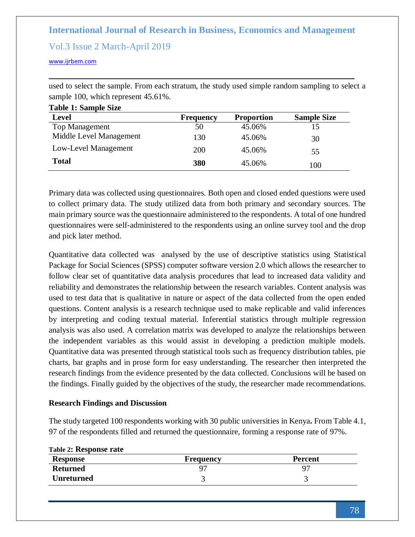## Vol.3 Issue 2 March-April 2019

[www.ijrbem.com](file:///D:/New%20folder/IJRBEM/pepar/2019/Jan-Feb/BEM340/www.ijrbem.com)

**Table 1: Sample Size** 

used to select the sample. From each stratum, the study used simple random sampling to select a sample 100, which represent 45.61%.

| <b>Level</b>            | <b>Frequency</b> | <b>Proportion</b> | <b>Sample Size</b> |
|-------------------------|------------------|-------------------|--------------------|
| <b>Top Management</b>   | 50               | 45.06%            |                    |
| Middle Level Management | 130              | 45.06%            | 30                 |
| Low-Level Management    | 200              | 45.06%            | 55                 |
| <b>Total</b>            | 380              | 45.06%            | 100                |

Primary data was collected using questionnaires. Both open and closed ended questions were used to collect primary data. The study utilized data from both primary and secondary sources. The main primary source was the questionnaire administered to the respondents. A total of one hundred questionnaires were self-administered to the respondents using an online survey tool and the drop and pick later method.

Quantitative data collected was analysed by the use of descriptive statistics using Statistical Package for Social Sciences (SPSS) computer software version 2.0 which allows the researcher to follow clear set of quantitative data analysis procedures that lead to increased data validity and reliability and demonstrates the relationship between the research variables. Content analysis was used to test data that is qualitative in nature or aspect of the data collected from the open ended questions. Content analysis is a research technique used to make replicable and valid inferences by interpreting and coding textual material. Inferential statistics through multiple regression analysis was also used. A correlation matrix was developed to analyze the relationships between the independent variables as this would assist in developing a prediction multiple models. Quantitative data was presented through statistical tools such as frequency distribution tables, pie charts, bar graphs and in prose form for easy understanding. The researcher then interpreted the research findings from the evidence presented by the data collected. Conclusions will be based on the findings. Finally guided by the objectives of the study, the researcher made recommendations.

### **Research Findings and Discussion**

The study targeted 100 respondents working with 30 public universities in Kenya**.** From Table 4.1, 97 of the respondents filled and returned the questionnaire, forming a response rate of 97%.

| <b>Response</b>   | Frequency | <b>Percent</b> |
|-------------------|-----------|----------------|
| <b>Returned</b>   |           |                |
| <b>Unreturned</b> |           |                |

**Table 2: Response rate**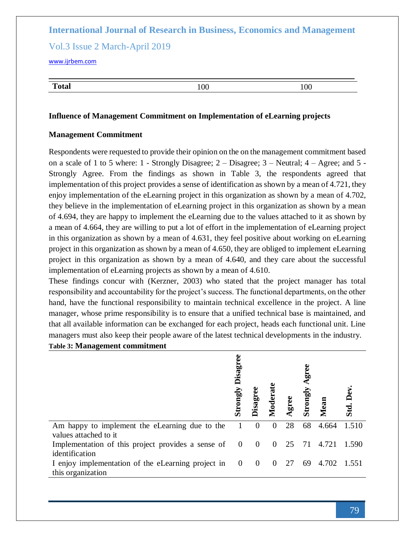## Vol.3 Issue 2 March-April 2019

[www.ijrbem.com](file:///D:/New%20folder/IJRBEM/pepar/2019/Jan-Feb/BEM340/www.ijrbem.com)

| ətal — | $\Omega$ | 100 |
|--------|----------|-----|

#### **Influence of Management Commitment on Implementation of eLearning projects**

### **Management Commitment**

Respondents were requested to provide their opinion on the on the management commitment based on a scale of 1 to 5 where: 1 - Strongly Disagree; 2 – Disagree; 3 – Neutral; 4 – Agree; and 5 - Strongly Agree. From the findings as shown in Table 3, the respondents agreed that implementation of this project provides a sense of identification as shown by a mean of 4.721, they enjoy implementation of the eLearning project in this organization as shown by a mean of 4.702, they believe in the implementation of eLearning project in this organization as shown by a mean of 4.694, they are happy to implement the eLearning due to the values attached to it as shown by a mean of 4.664, they are willing to put a lot of effort in the implementation of eLearning project in this organization as shown by a mean of 4.631, they feel positive about working on eLearning project in this organization as shown by a mean of 4.650, they are obliged to implement eLearning project in this organization as shown by a mean of 4.640, and they care about the successful implementation of eLearning projects as shown by a mean of 4.610.

These findings concur with (Kerzner, 2003) who stated that the project manager has total responsibility and accountability for the project's success. The functional departments, on the other hand, have the functional responsibility to maintain technical excellence in the project. A line manager, whose prime responsibility is to ensure that a unified technical base is maintained, and that all available information can be exchanged for each project, heads each functional unit. Line managers must also keep their people aware of the latest technical developments in the industry.

| <b>Table 3: Management commitment</b> |  |
|---------------------------------------|--|
|---------------------------------------|--|

|                                                                           | Disagree<br>Strongly | Disagree                | Moderat  | gree | gree<br>Strongly | Mean                           | Std. Dev |
|---------------------------------------------------------------------------|----------------------|-------------------------|----------|------|------------------|--------------------------------|----------|
| Am happy to implement the eLearning due to the<br>values attached to it   |                      | $\theta$                | $\theta$ | 28   | 68               | 4.664                          | 1.510    |
| Implementation of this project provides a sense of 0<br>identification    |                      | $\overline{\mathbf{0}}$ |          |      |                  | $0\quad 25\quad 71\quad 4.721$ | 1.590    |
| I enjoy implementation of the eLearning project in 0<br>this organization |                      | $\overline{0}$          | $\theta$ | 27   | 69               | 4.702                          | 1.551    |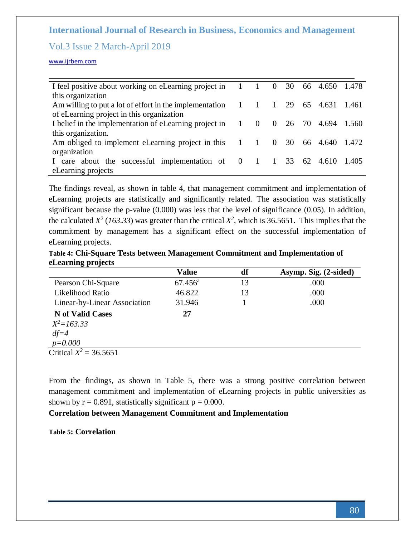## Vol.3 Issue 2 March-April 2019

[www.ijrbem.com](file:///D:/New%20folder/IJRBEM/pepar/2019/Jan-Feb/BEM340/www.ijrbem.com)

| I feel positive about working on eLearning project in 1                                    |                | $\theta$       | 30 |       | 66 4.650 1.478    |  |
|--------------------------------------------------------------------------------------------|----------------|----------------|----|-------|-------------------|--|
| this organization                                                                          |                |                |    |       |                   |  |
| Am willing to put a lot of effort in the implementation $1 \quad 1$                        |                | $\blacksquare$ | 29 |       | 65 4.631 1.461    |  |
| of eLearning project in this organization                                                  |                |                |    |       |                   |  |
| I belief in the implementation of eLearning project in 1                                   | $\overline{0}$ | $\bf{0}$       |    | 26 70 | 4.694 1.560       |  |
| this organization.                                                                         |                |                |    |       |                   |  |
| Am obliged to implement eLearning project in this $1 \t 1 \t 0$                            |                |                | 30 |       | 66 4.640 1.472    |  |
| organization                                                                               |                |                |    |       |                   |  |
| care about the successful implementation of $\begin{bmatrix} 0 & 1 \\ 1 & 1 \end{bmatrix}$ |                |                |    |       | 33 62 4.610 1.405 |  |
| eLearning projects                                                                         |                |                |    |       |                   |  |

The findings reveal, as shown in table 4, that management commitment and implementation of eLearning projects are statistically and significantly related. The association was statistically significant because the p-value (0.000) was less that the level of significance (0.05). In addition, the calculated  $X^2$  (163.33) was greater than the critical  $X^2$ , which is 36.5651. This implies that the commitment by management has a significant effect on the successful implementation of eLearning projects.

**Table 4: Chi-Square Tests between Management Commitment and Implementation of eLearning projects**

|                              | <b>Value</b>     | df | Asymp. Sig. (2-sided) |
|------------------------------|------------------|----|-----------------------|
| Pearson Chi-Square           | $67.456^{\rm a}$ | 13 | .000                  |
| Likelihood Ratio             | 46.822           | 13 | .000                  |
| Linear-by-Linear Association | 31.946           |    | .000                  |
| <b>N</b> of Valid Cases      | 27               |    |                       |
| $X^2 = 163.33$               |                  |    |                       |
| $df = 4$                     |                  |    |                       |
| $p = 0.000$                  |                  |    |                       |
| Critical $X^2 = 36.5651$     |                  |    |                       |

From the findings, as shown in Table 5, there was a strong positive correlation between management commitment and implementation of eLearning projects in public universities as shown by  $r = 0.891$ , statistically significant  $p = 0.000$ .

### **Correlation between Management Commitment and Implementation**

**Table 5: Correlation**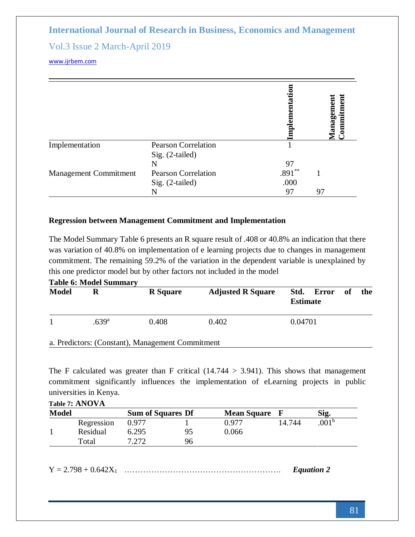## Vol.3 Issue 2 March-April 2019

[www.ijrbem.com](file:///D:/New%20folder/IJRBEM/pepar/2019/Jan-Feb/BEM340/www.ijrbem.com)

|                              |                            | ementa   | <b>fanagement<br/>.ommitment</b> |
|------------------------------|----------------------------|----------|----------------------------------|
| Implementation               | <b>Pearson Correlation</b> |          |                                  |
|                              | Sig. (2-tailed)            |          |                                  |
|                              | N                          | 97       |                                  |
| <b>Management Commitment</b> | <b>Pearson Correlation</b> | $.891**$ |                                  |
|                              | Sig. (2-tailed)            | .000     |                                  |
|                              |                            | 97       | 97                               |

### **Regression between Management Commitment and Implementation**

The Model Summary Table 6 presents an R square result of .408 or 40.8% an indication that there was variation of 40.8% on implementation of e learning projects due to changes in management commitment. The remaining 59.2% of the variation in the dependent variable is unexplained by this one predictor model but by other factors not included in the model **Table 6: Model Summary**

| <b>Model</b> |                   | <b>R</b> Square | <b>Adjusted R Square</b> | Std. Error of<br><b>Estimate</b> | the |
|--------------|-------------------|-----------------|--------------------------|----------------------------------|-----|
|              | .639 <sup>a</sup> | 0.408           | 0.402                    | 0.04701                          |     |

a. Predictors: (Constant), Management Commitment

The F calculated was greater than F critical  $(14.744 > 3.941)$ . This shows that management commitment significantly influences the implementation of eLearning projects in public universities in Kenya.

| Table 7: ANOVA |            |                          |    |                    |        |                  |  |  |
|----------------|------------|--------------------------|----|--------------------|--------|------------------|--|--|
| <b>Model</b>   |            | <b>Sum of Squares Df</b> |    | <b>Mean Square</b> | – F    | Sig.             |  |  |
|                | Regression | 0.977                    |    | 0.977              | 14.744 | 001 <sup>b</sup> |  |  |
|                | Residual   | 6.295                    | 95 | 0.066              |        |                  |  |  |
|                | Total      | 7.272                    | 96 |                    |        |                  |  |  |

Y = 2.798 + 0.642X<sup>1</sup> …………………………………………………. *Equation 2*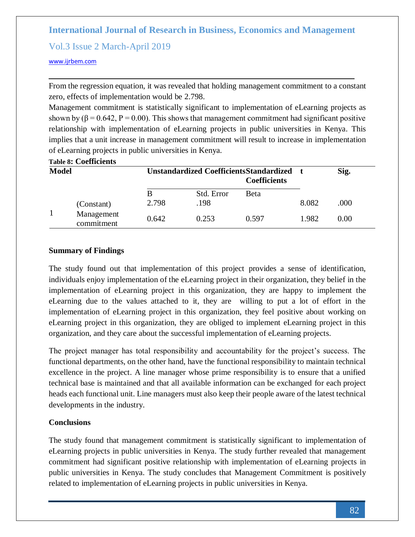## Vol.3 Issue 2 March-April 2019

### [www.ijrbem.com](file:///D:/New%20folder/IJRBEM/pepar/2019/Jan-Feb/BEM340/www.ijrbem.com)

From the regression equation, it was revealed that holding management commitment to a constant zero, effects of implementation would be 2.798.

Management commitment is statistically significant to implementation of eLearning projects as shown by ( $\beta$  = 0.642, P = 0.00). This shows that management commitment had significant positive relationship with implementation of eLearning projects in public universities in Kenya. This implies that a unit increase in management commitment will result to increase in implementation of eLearning projects in public universities in Kenya.

|              | <b>Table 8: Coefficients</b> |            |                    |                                                                       |       |      |  |
|--------------|------------------------------|------------|--------------------|-----------------------------------------------------------------------|-------|------|--|
| <b>Model</b> |                              |            |                    | <b>Unstandardized CoefficientsStandardized</b><br><b>Coefficients</b> |       | Sig. |  |
|              | (Constant)                   | В<br>2.798 | Std. Error<br>.198 | <b>Beta</b>                                                           | 8.082 | .000 |  |
|              | Management<br>commitment     | 0.642      | 0.253              | 0.597                                                                 | 1.982 | 0.00 |  |

## **Summary of Findings**

The study found out that implementation of this project provides a sense of identification, individuals enjoy implementation of the eLearning project in their organization, they belief in the implementation of eLearning project in this organization, they are happy to implement the eLearning due to the values attached to it, they are willing to put a lot of effort in the implementation of eLearning project in this organization, they feel positive about working on eLearning project in this organization, they are obliged to implement eLearning project in this organization, and they care about the successful implementation of eLearning projects.

The project manager has total responsibility and accountability for the project's success. The functional departments, on the other hand, have the functional responsibility to maintain technical excellence in the project. A line manager whose prime responsibility is to ensure that a unified technical base is maintained and that all available information can be exchanged for each project heads each functional unit. Line managers must also keep their people aware of the latest technical developments in the industry.

## **Conclusions**

The study found that management commitment is statistically significant to implementation of eLearning projects in public universities in Kenya. The study further revealed that management commitment had significant positive relationship with implementation of eLearning projects in public universities in Kenya. The study concludes that Management Commitment is positively related to implementation of eLearning projects in public universities in Kenya.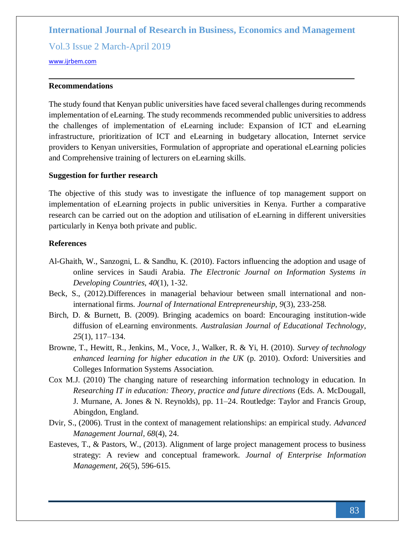Vol.3 Issue 2 March-April 2019

[www.ijrbem.com](file:///D:/New%20folder/IJRBEM/pepar/2019/Jan-Feb/BEM340/www.ijrbem.com)

### **Recommendations**

The study found that Kenyan public universities have faced several challenges during recommends implementation of eLearning. The study recommends recommended public universities to address the challenges of implementation of eLearning include: Expansion of ICT and eLearning infrastructure, prioritization of ICT and eLearning in budgetary allocation, Internet service providers to Kenyan universities, Formulation of appropriate and operational eLearning policies and Comprehensive training of lecturers on eLearning skills.

#### **Suggestion for further research**

The objective of this study was to investigate the influence of top management support on implementation of eLearning projects in public universities in Kenya. Further a comparative research can be carried out on the adoption and utilisation of eLearning in different universities particularly in Kenya both private and public.

### **References**

- Al-Ghaith, W., Sanzogni, L. & Sandhu, K. (2010). Factors influencing the adoption and usage of online services in Saudi Arabia. *The Electronic Journal on Information Systems in Developing Countries*, *40*(1), 1-32.
- Beck, S., (2012).Differences in managerial behaviour between small international and noninternational firms. *Journal of International Entrepreneurship, 9*(3), 233-258.
- Birch, D. & Burnett, B. (2009). Bringing academics on board: Encouraging institution-wide diffusion of eLearning environments. *Australasian Journal of Educational Technology*, *25*(1), 117–134.
- Browne, T., Hewitt, R., Jenkins, M., Voce, J., Walker, R. & Yi, H. (2010). *Survey of technology enhanced learning for higher education in the UK* (p. 2010). Oxford: Universities and Colleges Information Systems Association.
- Cox M.J. (2010) The changing nature of researching information technology in education. In *Researching IT in education: Theory, practice and future directions* (Eds. A. McDougall, J. Murnane, A. Jones & N. Reynolds), pp. 11–24. Routledge: Taylor and Francis Group, Abingdon, England.
- Dvir, S., (2006). Trust in the context of management relationships: an empirical study. *Advanced Management Journal, 68*(4), 24.
- Easteves, T., & Pastors, W., (2013). Alignment of large project management process to business strategy: A review and conceptual framework. *Journal of Enterprise Information Management, 26*(5), 596-615.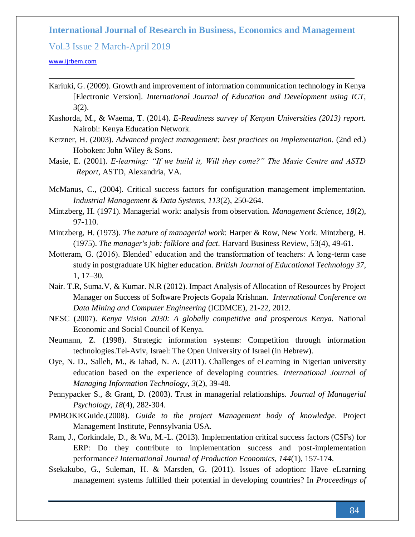Vol.3 Issue 2 March-April 2019

#### [www.ijrbem.com](file:///D:/New%20folder/IJRBEM/pepar/2019/Jan-Feb/BEM340/www.ijrbem.com)

- Kariuki, G. (2009). Growth and improvement of information communication technology in Kenya [Electronic Version]. *International Journal of Education and Development using ICT*, 3(2).
- Kashorda, M., & Waema, T. (2014). *E-Readiness survey of Kenyan Universities (2013) report.*  Nairobi: Kenya Education Network.
- Kerzner, H. (2003). *Advanced project management: best practices on implementation*. (2nd ed.) Hoboken: John Wiley & Sons.
- Masie, E. (2001). *E-learning: "If we build it, Will they come?" The Masie Centre and ASTD Report,* ASTD, Alexandria, VA.
- McManus, C., (2004). Critical success factors for configuration management implementation. *Industrial Management & Data Systems, 113*(2), 250-264.
- Mintzberg, H. (1971). Managerial work: analysis from observation. *Management Science, 18*(2), 97-110.
- Mintzberg, H. (1973). *The nature of managerial work*: Harper & Row, New York. Mintzberg, H. (1975). *The manager's job: folklore and fact*. Harvard Business Review, 53(4), 49-61.
- Motteram, G. (2016). Blended' education and the transformation of teachers: A long-term case study in postgraduate UK higher education. *British Journal of Educational Technology 37*, 1, 17–30.
- Nair. T.R, Suma.V, & Kumar. N.R (2012). Impact Analysis of Allocation of Resources by Project Manager on Success of Software Projects Gopala Krishnan. *International Conference on Data Mining and Computer Engineering* (ICDMCE), 21-22, 2012.
- NESC (2007). *Kenya Vision 2030: A globally competitive and prosperous Kenya.* National Economic and Social Council of Kenya.
- Neumann, Z. (1998). Strategic information systems: Competition through information technologies.Tel-Aviv, Israel: The Open University of Israel (in Hebrew).
- Oye, N. D., Salleh, M., & Iahad, N. A. (2011). Challenges of eLearning in Nigerian university education based on the experience of developing countries. *International Journal of Managing Information Technology, 3*(2), 39-48.
- Pennypacker S., & Grant, D. (2003). Trust in managerial relationships. *Journal of Managerial Psychology, 18*(4), 282-304.
- PMBOK®Guide.(2008). *Guide to the project Management body of knowledge*. Project Management Institute, Pennsylvania USA.
- Ram, J., Corkindale, D., & Wu, M.-L. (2013). Implementation critical success factors (CSFs) for ERP: Do they contribute to implementation success and post-implementation performance? *International Journal of Production Economics, 144*(1), 157-174.
- Ssekakubo, G., Suleman, H. & Marsden, G. (2011). Issues of adoption: Have eLearning management systems fulfilled their potential in developing countries? In *Proceedings of*